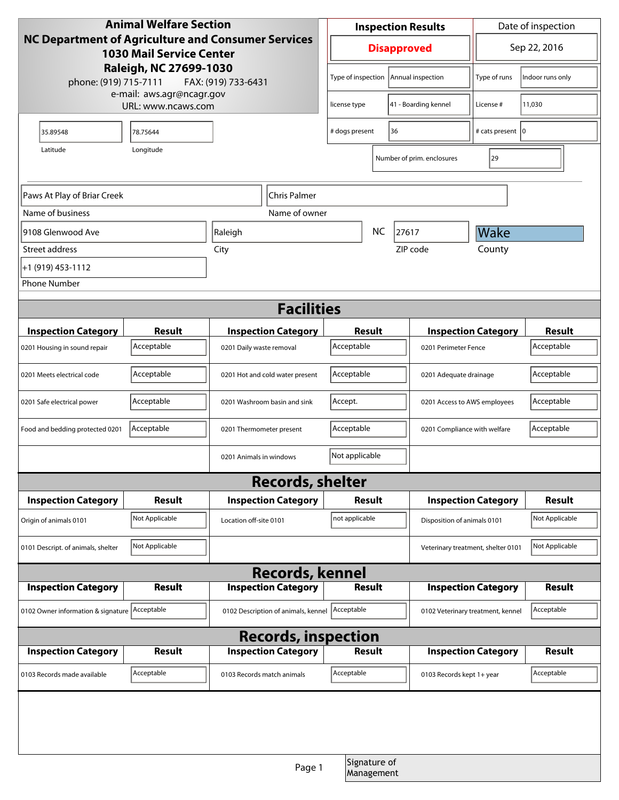| <b>Animal Welfare Section</b>                                                                                                                                                                |                |                                     |                                 | <b>Inspection Results</b>               |                            |                                   | Date of inspection                                   |                |  |
|----------------------------------------------------------------------------------------------------------------------------------------------------------------------------------------------|----------------|-------------------------------------|---------------------------------|-----------------------------------------|----------------------------|-----------------------------------|------------------------------------------------------|----------------|--|
| NC Department of Agriculture and Consumer Services<br><b>1030 Mail Service Center</b><br>Raleigh, NC 27699-1030<br>phone: (919) 715-7111<br>FAX: (919) 733-6431<br>e-mail: aws.agr@ncagr.gov |                |                                     | <b>Disapproved</b>              |                                         | Sep 22, 2016               |                                   |                                                      |                |  |
|                                                                                                                                                                                              |                |                                     |                                 | Type of inspection<br>Annual inspection |                            | Type of runs                      | Indoor runs only                                     |                |  |
| URL: www.ncaws.com                                                                                                                                                                           |                |                                     |                                 | 41 - Boarding kennel<br>license type    |                            | License #                         | 11,030                                               |                |  |
| 35.89548                                                                                                                                                                                     | 78.75644       |                                     |                                 | # dogs present                          | 36                         |                                   | # cats present   0                                   |                |  |
| Longitude<br>Latitude                                                                                                                                                                        |                |                                     |                                 |                                         |                            | Number of prim. enclosures        | 29                                                   |                |  |
|                                                                                                                                                                                              |                |                                     |                                 |                                         |                            |                                   |                                                      |                |  |
| Paws At Play of Briar Creek<br>Chris Palmer                                                                                                                                                  |                |                                     |                                 |                                         |                            |                                   |                                                      |                |  |
| Name of business                                                                                                                                                                             |                |                                     | Name of owner                   |                                         |                            |                                   |                                                      |                |  |
| 9108 Glenwood Ave                                                                                                                                                                            |                |                                     |                                 | <b>NC</b><br>27617                      |                            |                                   | Wake                                                 |                |  |
| Street address                                                                                                                                                                               |                | City                                |                                 |                                         |                            | ZIP code                          | County                                               |                |  |
| +1 (919) 453-1112                                                                                                                                                                            |                |                                     |                                 |                                         |                            |                                   |                                                      |                |  |
| <b>Phone Number</b>                                                                                                                                                                          |                |                                     |                                 |                                         |                            |                                   |                                                      |                |  |
| <b>Facilities</b>                                                                                                                                                                            |                |                                     |                                 |                                         |                            |                                   |                                                      |                |  |
| <b>Inspection Category</b>                                                                                                                                                                   | Result         |                                     | <b>Inspection Category</b>      | Result                                  |                            |                                   | <b>Inspection Category</b>                           |                |  |
| 0201 Housing in sound repair                                                                                                                                                                 | Acceptable     | 0201 Daily waste removal            |                                 | Acceptable                              |                            | 0201 Perimeter Fence              |                                                      | Acceptable     |  |
| 0201 Meets electrical code                                                                                                                                                                   | Acceptable     |                                     | 0201 Hot and cold water present | Acceptable                              |                            | 0201 Adequate drainage            |                                                      | Acceptable     |  |
| 0201 Safe electrical power                                                                                                                                                                   | Acceptable     | 0201 Washroom basin and sink        |                                 | Accept.                                 |                            | 0201 Access to AWS employees      |                                                      | Acceptable     |  |
| Food and bedding protected 0201                                                                                                                                                              | Acceptable     | 0201 Thermometer present            |                                 | Acceptable                              |                            | 0201 Compliance with welfare      |                                                      | Acceptable     |  |
|                                                                                                                                                                                              |                | 0201 Animals in windows             |                                 | Not applicable                          |                            |                                   |                                                      |                |  |
| <b>Records, shelter</b>                                                                                                                                                                      |                |                                     |                                 |                                         |                            |                                   |                                                      |                |  |
| <b>Inspection Category</b>                                                                                                                                                                   | Result         |                                     | <b>Inspection Category</b>      | <b>Result</b>                           |                            | <b>Inspection Category</b>        |                                                      | <b>Result</b>  |  |
| Origin of animals 0101                                                                                                                                                                       | Not Applicable | Location off-site 0101              |                                 | not applicable                          |                            | Disposition of animals 0101       |                                                      | Not Applicable |  |
| 0101 Descript. of animals, shelter                                                                                                                                                           | Not Applicable |                                     |                                 |                                         |                            |                                   | Not Applicable<br>Veterinary treatment, shelter 0101 |                |  |
| <b>Records, kennel</b>                                                                                                                                                                       |                |                                     |                                 |                                         |                            |                                   |                                                      |                |  |
| <b>Inspection Category</b>                                                                                                                                                                   | <b>Result</b>  | <b>Inspection Category</b>          |                                 | <b>Result</b>                           |                            | <b>Inspection Category</b>        |                                                      | <b>Result</b>  |  |
| 0102 Owner information & signature Acceptable                                                                                                                                                |                | 0102 Description of animals, kennel |                                 | Acceptable                              |                            | 0102 Veterinary treatment, kennel |                                                      | Acceptable     |  |
| <b>Records, inspection</b>                                                                                                                                                                   |                |                                     |                                 |                                         |                            |                                   |                                                      |                |  |
| <b>Inspection Category</b>                                                                                                                                                                   | Result         |                                     | <b>Inspection Category</b>      | <b>Result</b>                           |                            |                                   | <b>Inspection Category</b>                           | <b>Result</b>  |  |
| 0103 Records made available                                                                                                                                                                  | Acceptable     | 0103 Records match animals          |                                 | Acceptable                              |                            | 0103 Records kept 1+ year         |                                                      | Acceptable     |  |
|                                                                                                                                                                                              |                |                                     |                                 |                                         |                            |                                   |                                                      |                |  |
|                                                                                                                                                                                              |                |                                     |                                 |                                         |                            |                                   |                                                      |                |  |
|                                                                                                                                                                                              |                |                                     | Page 1                          |                                         | Signature of<br>Management |                                   |                                                      |                |  |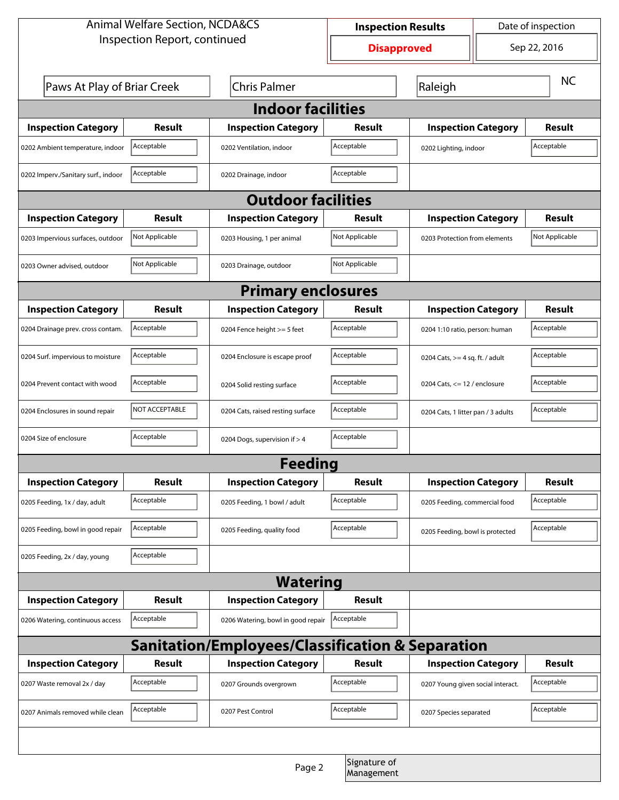| <b>Animal Welfare Section, NCDA&amp;CS</b>       |                                                    |                                    | <b>Inspection Results</b> |                                   | Date of inspection                 |               |  |  |  |
|--------------------------------------------------|----------------------------------------------------|------------------------------------|---------------------------|-----------------------------------|------------------------------------|---------------|--|--|--|
| Inspection Report, continued                     |                                                    |                                    | <b>Disapproved</b>        |                                   |                                    | Sep 22, 2016  |  |  |  |
|                                                  | Paws At Play of Briar Creek<br><b>Chris Palmer</b> |                                    |                           | Raleigh                           |                                    | <b>NC</b>     |  |  |  |
| <b>Indoor facilities</b>                         |                                                    |                                    |                           |                                   |                                    |               |  |  |  |
| <b>Inspection Category</b>                       | Result                                             | <b>Inspection Category</b>         | Result                    | <b>Inspection Category</b>        |                                    | Result        |  |  |  |
| 0202 Ambient temperature, indoor                 | Acceptable                                         | 0202 Ventilation, indoor           | Acceptable                | 0202 Lighting, indoor             |                                    | Acceptable    |  |  |  |
| 0202 Imperv./Sanitary surf., indoor              | Acceptable                                         | 0202 Drainage, indoor              | Acceptable                |                                   |                                    |               |  |  |  |
| <b>Outdoor facilities</b>                        |                                                    |                                    |                           |                                   |                                    |               |  |  |  |
| <b>Inspection Category</b>                       | Result                                             | <b>Inspection Category</b>         | Result                    | <b>Inspection Category</b>        |                                    | <b>Result</b> |  |  |  |
| 0203 Impervious surfaces, outdoor                | Not Applicable                                     | 0203 Housing, 1 per animal         | Not Applicable            |                                   | 0203 Protection from elements      |               |  |  |  |
| 0203 Owner advised, outdoor                      | Not Applicable                                     | 0203 Drainage, outdoor             | Not Applicable            |                                   |                                    |               |  |  |  |
| <b>Primary enclosures</b>                        |                                                    |                                    |                           |                                   |                                    |               |  |  |  |
| <b>Inspection Category</b>                       | Result                                             | <b>Inspection Category</b>         | Result                    | <b>Inspection Category</b>        |                                    | <b>Result</b> |  |  |  |
| 0204 Drainage prev. cross contam.                | Acceptable                                         | 0204 Fence height >= 5 feet        | Acceptable                |                                   | 0204 1:10 ratio, person: human     |               |  |  |  |
| 0204 Surf. impervious to moisture                | Acceptable                                         | 0204 Enclosure is escape proof     | Acceptable                | 0204 Cats, $>=$ 4 sq. ft. / adult |                                    | Acceptable    |  |  |  |
| 0204 Prevent contact with wood                   | Acceptable                                         | 0204 Solid resting surface         | Acceptable                |                                   | 0204 Cats, $<= 12$ / enclosure     |               |  |  |  |
| 0204 Enclosures in sound repair                  | NOT ACCEPTABLE                                     | 0204 Cats, raised resting surface  | Acceptable                |                                   | 0204 Cats, 1 litter pan / 3 adults |               |  |  |  |
| 0204 Size of enclosure                           | Acceptable                                         | 0204 Dogs, supervision if > 4      | Acceptable                |                                   |                                    |               |  |  |  |
| <b>Feeding</b>                                   |                                                    |                                    |                           |                                   |                                    |               |  |  |  |
| <b>Inspection Category</b>                       | <b>Result</b>                                      | <b>Inspection Category</b>         | Result                    | <b>Inspection Category</b>        |                                    | <b>Result</b> |  |  |  |
| 0205 Feeding, 1x / day, adult                    | Acceptable                                         | 0205 Feeding, 1 bowl / adult       | Acceptable                | 0205 Feeding, commercial food     |                                    | Acceptable    |  |  |  |
| 0205 Feeding, bowl in good repair                | Acceptable                                         | 0205 Feeding, quality food         | Acceptable                | 0205 Feeding, bowl is protected   |                                    | Acceptable    |  |  |  |
| 0205 Feeding, 2x / day, young                    | Acceptable                                         |                                    |                           |                                   |                                    |               |  |  |  |
| <b>Watering</b>                                  |                                                    |                                    |                           |                                   |                                    |               |  |  |  |
| <b>Inspection Category</b>                       | <b>Result</b>                                      | <b>Inspection Category</b>         | Result                    |                                   |                                    |               |  |  |  |
| 0206 Watering, continuous access                 | Acceptable                                         | 0206 Watering, bowl in good repair | Acceptable                |                                   |                                    |               |  |  |  |
| Sanitation/Employees/Classification & Separation |                                                    |                                    |                           |                                   |                                    |               |  |  |  |
| <b>Inspection Category</b>                       | <b>Result</b>                                      | <b>Inspection Category</b>         | Result                    | <b>Inspection Category</b>        |                                    | <b>Result</b> |  |  |  |
| 0207 Waste removal 2x / day                      | Acceptable                                         | 0207 Grounds overgrown             | Acceptable                | 0207 Young given social interact. |                                    | Acceptable    |  |  |  |
| 0207 Animals removed while clean                 | Acceptable                                         | 0207 Pest Control                  | Acceptable                | 0207 Species separated            |                                    | Acceptable    |  |  |  |
|                                                  |                                                    |                                    |                           |                                   |                                    |               |  |  |  |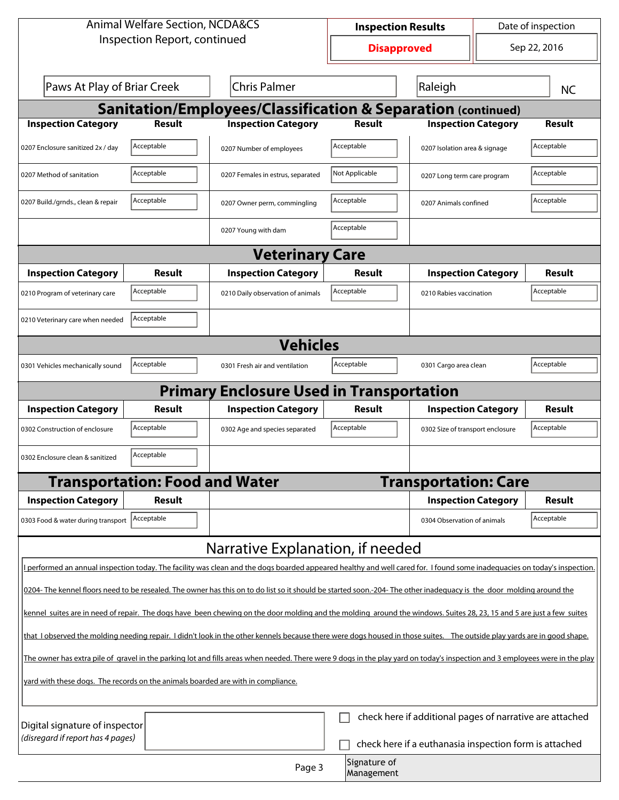| <b>Animal Welfare Section, NCDA&amp;CS</b>                                       |                                       |                                                                                                                                                                              | <b>Inspection Results</b> |                                                          | Date of inspection |               |  |  |  |
|----------------------------------------------------------------------------------|---------------------------------------|------------------------------------------------------------------------------------------------------------------------------------------------------------------------------|---------------------------|----------------------------------------------------------|--------------------|---------------|--|--|--|
| Inspection Report, continued                                                     |                                       |                                                                                                                                                                              | <b>Disapproved</b>        |                                                          |                    | Sep 22, 2016  |  |  |  |
| Paws At Play of Briar Creek<br><b>Chris Palmer</b>                               |                                       |                                                                                                                                                                              | Raleigh                   |                                                          |                    | <b>NC</b>     |  |  |  |
| <b>Sanitation/Employees/Classification &amp; Separation (continued)</b>          |                                       |                                                                                                                                                                              |                           |                                                          |                    |               |  |  |  |
| <b>Inspection Category</b>                                                       | Result                                | <b>Inspection Category</b>                                                                                                                                                   | <b>Result</b>             | <b>Inspection Category</b>                               |                    | <b>Result</b> |  |  |  |
| 0207 Enclosure sanitized 2x / day                                                | Acceptable                            | 0207 Number of employees                                                                                                                                                     | Acceptable                | 0207 Isolation area & signage                            |                    | Acceptable    |  |  |  |
| 0207 Method of sanitation                                                        | Acceptable                            | 0207 Females in estrus, separated                                                                                                                                            | Not Applicable            | 0207 Long term care program                              |                    | Acceptable    |  |  |  |
| 0207 Build./grnds., clean & repair                                               | Acceptable                            | 0207 Owner perm, commingling                                                                                                                                                 | Acceptable                | 0207 Animals confined                                    |                    | Acceptable    |  |  |  |
|                                                                                  |                                       | 0207 Young with dam                                                                                                                                                          | Acceptable                |                                                          |                    |               |  |  |  |
|                                                                                  |                                       | <b>Veterinary Care</b>                                                                                                                                                       |                           |                                                          |                    |               |  |  |  |
| <b>Inspection Category</b>                                                       | Result                                | <b>Inspection Category</b>                                                                                                                                                   | Result                    | <b>Inspection Category</b>                               |                    | <b>Result</b> |  |  |  |
| 0210 Program of veterinary care                                                  | Acceptable                            | 0210 Daily observation of animals                                                                                                                                            | Acceptable                | 0210 Rabies vaccination                                  |                    | Acceptable    |  |  |  |
| Acceptable<br>0210 Veterinary care when needed                                   |                                       |                                                                                                                                                                              |                           |                                                          |                    |               |  |  |  |
|                                                                                  | <b>Vehicles</b>                       |                                                                                                                                                                              |                           |                                                          |                    |               |  |  |  |
| 0301 Vehicles mechanically sound                                                 | Acceptable                            | 0301 Fresh air and ventilation                                                                                                                                               | Acceptable                | 0301 Cargo area clean                                    |                    | Acceptable    |  |  |  |
| <b>Primary Enclosure Used in Transportation</b>                                  |                                       |                                                                                                                                                                              |                           |                                                          |                    |               |  |  |  |
|                                                                                  |                                       |                                                                                                                                                                              |                           |                                                          |                    |               |  |  |  |
| <b>Inspection Category</b>                                                       | Result                                | <b>Inspection Category</b>                                                                                                                                                   | Result                    | <b>Inspection Category</b>                               |                    | Result        |  |  |  |
| 0302 Construction of enclosure                                                   | Acceptable                            | 0302 Age and species separated                                                                                                                                               | Acceptable                | 0302 Size of transport enclosure                         |                    | Acceptable    |  |  |  |
| 0302 Enclosure clean & sanitized                                                 | Acceptable                            |                                                                                                                                                                              |                           |                                                          |                    |               |  |  |  |
|                                                                                  | <b>Transportation: Food and Water</b> |                                                                                                                                                                              |                           | <b>Transportation: Care</b>                              |                    |               |  |  |  |
| <b>Inspection Category</b>                                                       | Result                                |                                                                                                                                                                              |                           | <b>Inspection Category</b>                               |                    | <b>Result</b> |  |  |  |
| 0303 Food & water during transport                                               | Acceptable                            |                                                                                                                                                                              |                           | 0304 Observation of animals                              |                    | Acceptable    |  |  |  |
|                                                                                  |                                       | Narrative Explanation, if needed                                                                                                                                             |                           |                                                          |                    |               |  |  |  |
|                                                                                  |                                       | I performed an annual inspection today. The facility was clean and the dogs boarded appeared healthy and well cared for. I found some inadequacies on today's inspection.    |                           |                                                          |                    |               |  |  |  |
|                                                                                  |                                       | 0204- The kennel floors need to be resealed. The owner has this on to do list so it should be started soon.-204- The other inadequacy is the door molding around the         |                           |                                                          |                    |               |  |  |  |
|                                                                                  |                                       | kennel suites are in need of repair. The dogs have been chewing on the door molding and the molding around the windows. Suites 28, 23, 15 and 5 are just a few suites        |                           |                                                          |                    |               |  |  |  |
|                                                                                  |                                       | that I observed the molding needing repair. I didn't look in the other kennels because there were dogs housed in those suites. The outside play yards are in good shape.     |                           |                                                          |                    |               |  |  |  |
|                                                                                  |                                       | The owner has extra pile of gravel in the parking lot and fills areas when needed. There were 9 dogs in the play yard on today's inspection and 3 employees were in the play |                           |                                                          |                    |               |  |  |  |
| yard with these dogs. The records on the animals boarded are with in compliance. |                                       |                                                                                                                                                                              |                           |                                                          |                    |               |  |  |  |
|                                                                                  |                                       |                                                                                                                                                                              |                           |                                                          |                    |               |  |  |  |
| Digital signature of inspector<br>(disregard if report has 4 pages)              |                                       |                                                                                                                                                                              |                           | check here if additional pages of narrative are attached |                    |               |  |  |  |
|                                                                                  |                                       | Page 3                                                                                                                                                                       | Signature of              | check here if a euthanasia inspection form is attached   |                    |               |  |  |  |